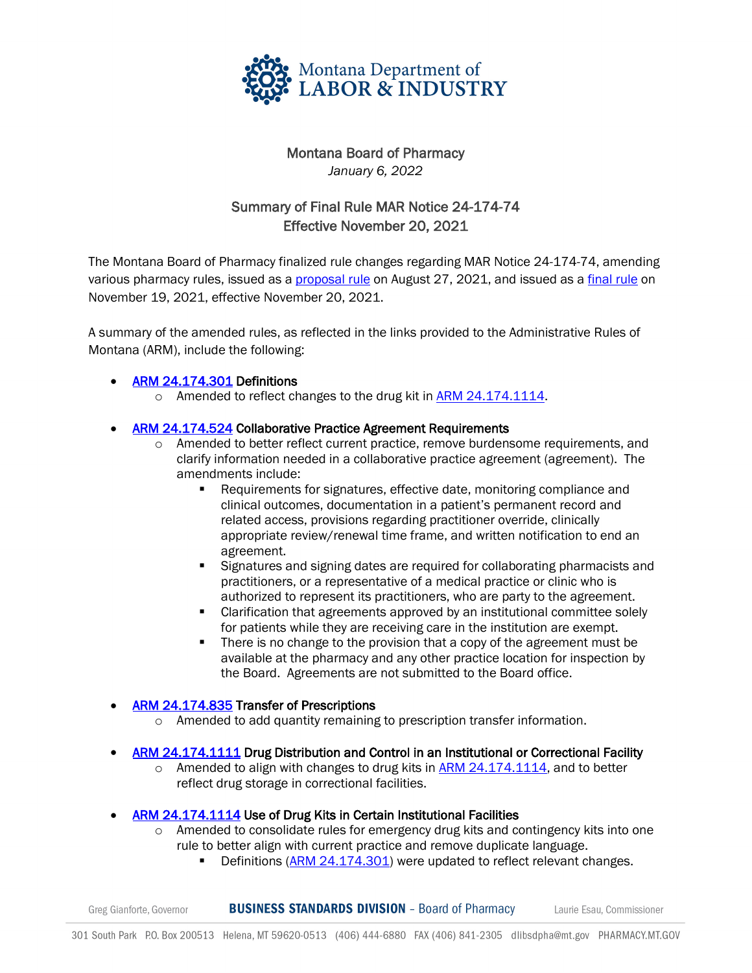

## Montana Board of Pharmacy *January 6, 2022*

# Summary of Final Rule MAR Notice 24-174-74 Effective November 20, 2021

The Montana Board of Pharmacy finalized rule changes regarding MAR Notice 24-174-74, amending various pharmacy rules, issued as [a proposal rule](https://boards.bsd.dli.mt.gov/_docs/pha/24-174-74pro-arm.pdf) on August 27, 2021, and issued as a [final rule](https://boards.bsd.dli.mt.gov/_docs/pha/24-174-74adp-arm.pdf) on November 19, 2021, effective November 20, 2021.

A summary of the amended rules, as reflected in the links provided to the Administrative Rules of Montana (ARM), include the following:

### • [ARM 24.174.301](https://rules.mt.gov/gateway/RuleNo.asp?RN=24%2E174%2E301) Definitions

o Amended to reflect changes to the drug kit in [ARM 24.174.1114.](https://rules.mt.gov/gateway/RuleNo.asp?RN=24%2E174%2E1114)

#### • [ARM 24.174.524](https://rules.mt.gov/gateway/RuleNo.asp?RN=24%2E174%2E524) Collaborative Practice Agreement Requirements

- o Amended to better reflect current practice, remove burdensome requirements, and clarify information needed in a collaborative practice agreement (agreement). The amendments include:
	- Requirements for signatures, effective date, monitoring compliance and clinical outcomes, documentation in a patient's permanent record and related access, provisions regarding practitioner override, clinically appropriate review/renewal time frame, and written notification to end an agreement.
	- Signatures and signing dates are required for collaborating pharmacists and practitioners, or a representative of a medical practice or clinic who is authorized to represent its practitioners, who are party to the agreement.
	- Clarification that agreements approved by an institutional committee solely for patients while they are receiving care in the institution are exempt.
	- There is no change to the provision that a copy of the agreement must be available at the pharmacy and any other practice location for inspection by the Board. Agreements are not submitted to the Board office.

#### **[ARM 24.174.835](https://rules.mt.gov/gateway/RuleNo.asp?RN=24%2E174%2E835) Transfer of Prescriptions**

- $\circ$  Amended to add quantity remaining to prescription transfer information.
- [ARM 24.174.1111](https://rules.mt.gov/gateway/RuleNo.asp?RN=24%2E174%2E1111) Drug Distribution and Control in an Institutional or Correctional Facility
	- $\circ$  Amended to align with changes to drug kits in [ARM 24.174.1114,](https://rules.mt.gov/gateway/RuleNo.asp?RN=24%2E174%2E1114) and to better reflect drug storage in correctional facilities.
- [ARM 24.174.1114](https://rules.mt.gov/gateway/RuleNo.asp?RN=24%2E174%2E1114) Use of Drug Kits in Certain Institutional Facilities
	- $\circ$  Amended to consolidate rules for emergency drug kits and contingency kits into one rule to better align with current practice and remove duplicate language.
		- Definitions [\(ARM 24.174.301\)](https://rules.mt.gov/gateway/RuleNo.asp?RN=24%2E174%2E301) were updated to reflect relevant changes.

**BUSINESS STANDARDS DIVISION** - Board of Pharmacy Greg Gianforte, Governor Laurie Esau, Commissioner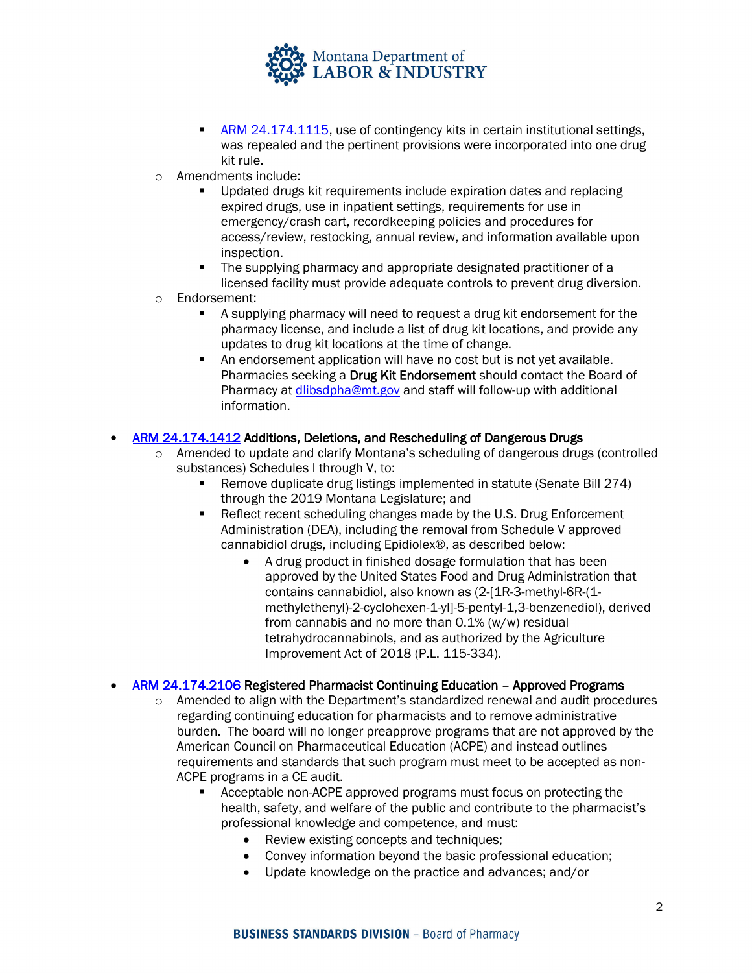

- **[ARM 24.174.1115,](https://rules.mt.gov/gateway/RuleNo.asp?RN=24%2E174%2E1115) use of contingency kits in certain institutional settings,** was repealed and the pertinent provisions were incorporated into one drug kit rule.
- o Amendments include:
	- Updated drugs kit requirements include expiration dates and replacing expired drugs, use in inpatient settings, requirements for use in emergency/crash cart, recordkeeping policies and procedures for access/review, restocking, annual review, and information available upon inspection.
	- The supplying pharmacy and appropriate designated practitioner of a licensed facility must provide adequate controls to prevent drug diversion.
- o Endorsement:
	- A supplying pharmacy will need to request a drug kit endorsement for the pharmacy license, and include a list of drug kit locations, and provide any updates to drug kit locations at the time of change.
	- An endorsement application will have no cost but is not yet available. Pharmacies seeking a Drug Kit Endorsement should contact the Board of Pharmacy at *dlibsdpha@mt.gov* and staff will follow-up with additional information.

#### • [ARM 24.174.1412](https://rules.mt.gov/gateway/RuleNo.asp?RN=24%2E174%2E1412) Additions, Deletions, and Rescheduling of Dangerous Drugs

- o Amended to update and clarify Montana's scheduling of dangerous drugs (controlled substances) Schedules I through V, to:
	- Remove duplicate drug listings implemented in statute (Senate Bill 274) through the 2019 Montana Legislature; and
	- Reflect recent scheduling changes made by the U.S. Drug Enforcement Administration (DEA), including the removal from Schedule V approved cannabidiol drugs, including Epidiolex®, as described below:
		- A drug product in finished dosage formulation that has been approved by the United States Food and Drug Administration that contains cannabidiol, also known as (2-[1R-3-methyl-6R-(1 methylethenyl)-2-cyclohexen-1-yl]-5-pentyl-1,3-benzenediol), derived from cannabis and no more than 0.1% (w/w) residual tetrahydrocannabinols, and as authorized by the Agriculture Improvement Act of 2018 (P.L. 115-334).

#### • [ARM 24.174.2106](https://rules.mt.gov/gateway/RuleNo.asp?RN=24%2E174%2E2106) Registered Pharmacist Continuing Education – Approved Programs

- $\circ$  Amended to align with the Department's standardized renewal and audit procedures regarding continuing education for pharmacists and to remove administrative burden. The board will no longer preapprove programs that are not approved by the American Council on Pharmaceutical Education (ACPE) and instead outlines requirements and standards that such program must meet to be accepted as non-ACPE programs in a CE audit.
	- Acceptable non-ACPE approved programs must focus on protecting the health, safety, and welfare of the public and contribute to the pharmacist's professional knowledge and competence, and must:
		- Review existing concepts and techniques:
		- Convey information beyond the basic professional education;
		- Update knowledge on the practice and advances; and/or